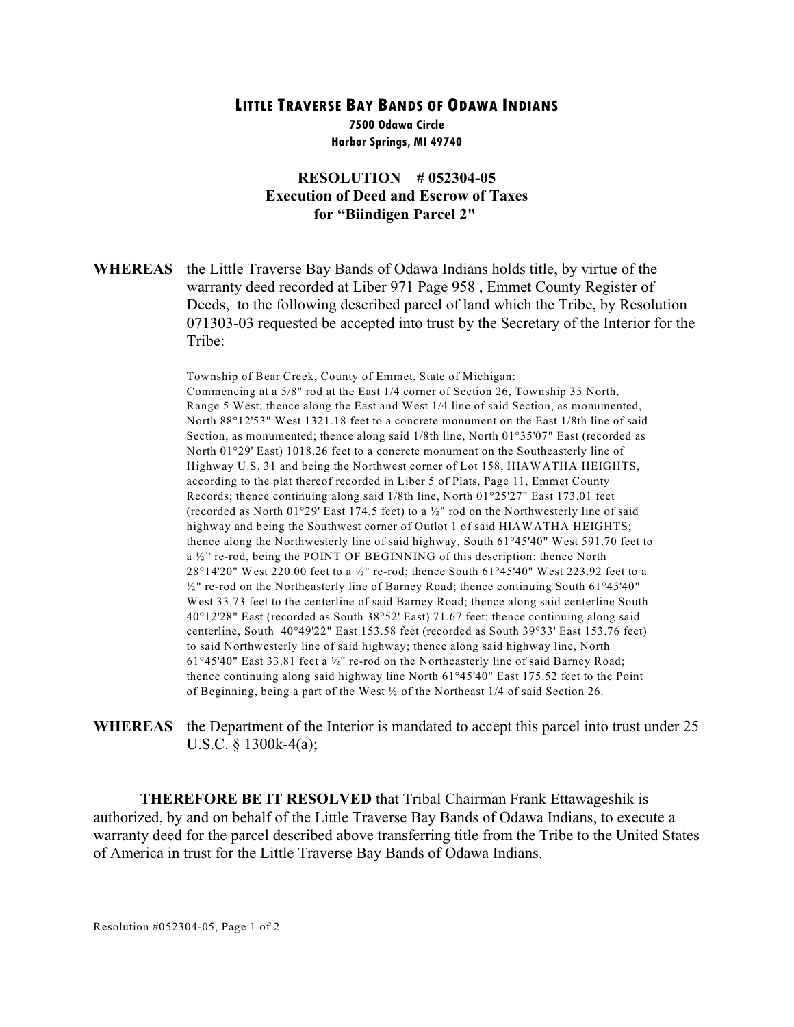## **LITTLE TRAVERSE BAY BANDS OF ODAWA INDIANS**

**7500 Odawa Circle Harbor Springs, MI 49740**

## **RESOLUTION # 052304-05 Execution of Deed and Escrow of Taxes for "Biindigen Parcel 2"**

**WHEREAS** the Little Traverse Bay Bands of Odawa Indians holds title, by virtue of the warranty deed recorded at Liber 971 Page 958 , Emmet County Register of Deeds, to the following described parcel of land which the Tribe, by Resolution 071303-03 requested be accepted into trust by the Secretary of the Interior for the Tribe:

> Township of Bear Creek, County of Emmet, State of Michigan: Commencing at a 5/8" rod at the East 1/4 corner of Section 26, Township 35 North, Range 5 West; thence along the East and West 1/4 line of said Section, as monumented, North 88°12'53" West 1321.18 feet to a concrete monument on the East 1/8th line of said Section, as monumented; thence along said 1/8th line, North 01°35'07" East (recorded as North 01°29' East) 1018.26 feet to a concrete monument on the Southeasterly line of Highway U.S. 31 and being the Northwest corner of Lot 158, HIAWATHA HEIGHTS, according to the plat thereof recorded in Liber 5 of Plats, Page 11, Emmet County Records; thence continuing along said 1/8th line, North 01°25'27" East 173.01 feet (recorded as North 01°29' East 174.5 feet) to a  $\frac{1}{2}$ " rod on the Northwesterly line of said highway and being the Southwest corner of Outlot 1 of said HIAWATHA HEIGHTS; thence along the Northwesterly line of said highway, South 61°45'40" West 591.70 feet to a ½" re-rod, being the POINT OF BEGINNING of this description: thence North 28°14'20" West 220.00 feet to a ½" re-rod; thence South 61°45'40" West 223.92 feet to a ½" re-rod on the Northeasterly line of Barney Road; thence continuing South 61°45'40" West 33.73 feet to the centerline of said Barney Road; thence along said centerline South 40°12'28" East (recorded as South 38°52' East) 71.67 feet; thence continuing along said centerline, South 40°49'22" East 153.58 feet (recorded as South 39°33' East 153.76 feet) to said Northwesterly line of said highway; thence along said highway line, North 61°45'40" East 33.81 feet a  $\frac{1}{2}$ " re-rod on the Northeasterly line of said Barney Road; thence continuing along said highway line North 61°45'40" East 175.52 feet to the Point of Beginning, being a part of the West ½ of the Northeast 1/4 of said Section 26.

**WHEREAS** the Department of the Interior is mandated to accept this parcel into trust under 25 U.S.C. § 1300k-4(a);

**THEREFORE BE IT RESOLVED** that Tribal Chairman Frank Ettawageshik is authorized, by and on behalf of the Little Traverse Bay Bands of Odawa Indians, to execute a warranty deed for the parcel described above transferring title from the Tribe to the United States of America in trust for the Little Traverse Bay Bands of Odawa Indians.